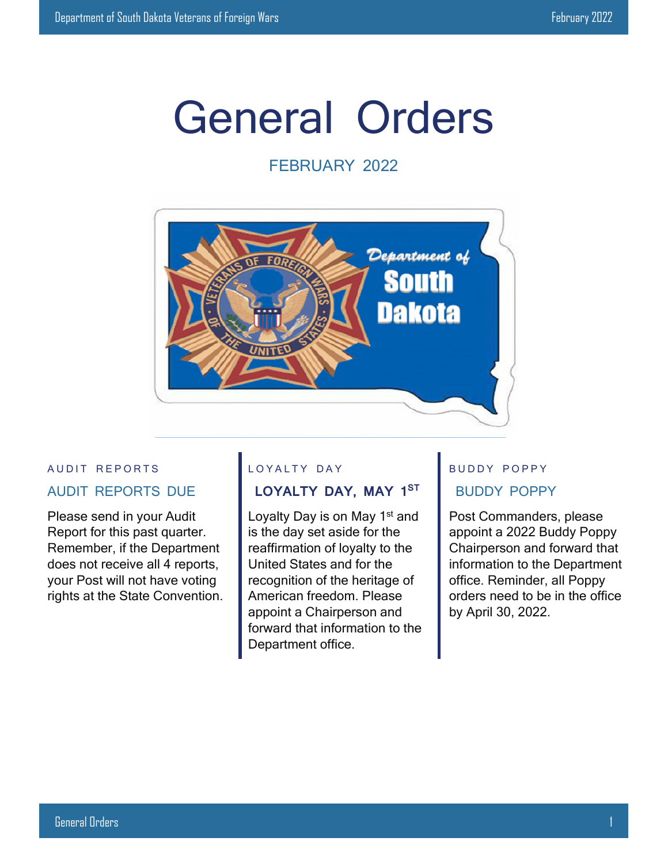# General Orders

# FEBRUARY 2022



## AUDIT REPORTS AUDIT REPORTS DUE

Please send in your Audit Report for this past quarter. Remember, if the Department does not receive all 4 reports, your Post will not have voting rights at the State Convention.

#### LOYALTY DAY

# **LOYALTY DAY, MAY 1ST**

Loyalty Day is on May 1<sup>st</sup> and is the day set aside for the reaffirmation of loyalty to the United States and for the recognition of the heritage of American freedom. Please appoint a Chairperson and forward that information to the Department office.

# BUDDY POPPY BUDDY POPPY

Post Commanders, please appoint a 2022 Buddy Poppy Chairperson and forward that information to the Department office. Reminder, all Poppy orders need to be in the office by April 30, 2022.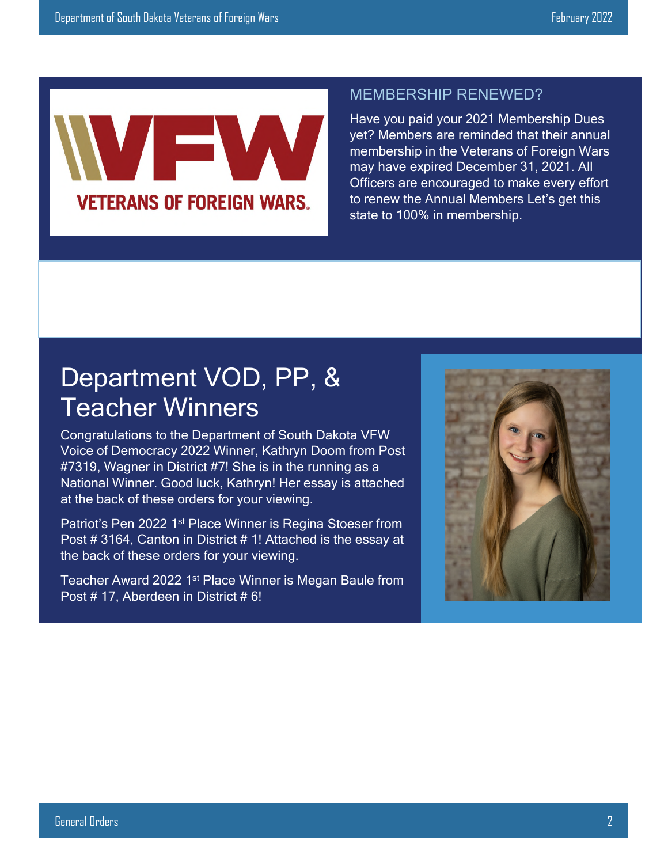

# MEMBERSHIP RENEWED?

Have you paid your 2021 Membership Dues yet? Members are reminded that their annual membership in the Veterans of Foreign Wars may have expired December 31, 2021. All Officers are encouraged to make every effort to renew the Annual Members Let's get this state to 100% in membership.

# Department VOD, PP, & Teacher Winners

Congratulations to the Department of South Dakota VFW Voice of Democracy 2022 Winner, Kathryn Doom from Post #7319, Wagner in District #7! She is in the running as a National Winner. Good luck, Kathryn! Her essay is attached at the back of these orders for your viewing.

Patriot's Pen 2022 1st Place Winner is Regina Stoeser from Post # 3164, Canton in District # 1! Attached is the essay at the back of these orders for your viewing.

Teacher Award 2022 1<sup>st</sup> Place Winner is Megan Baule from Post #17, Aberdeen in District #6!

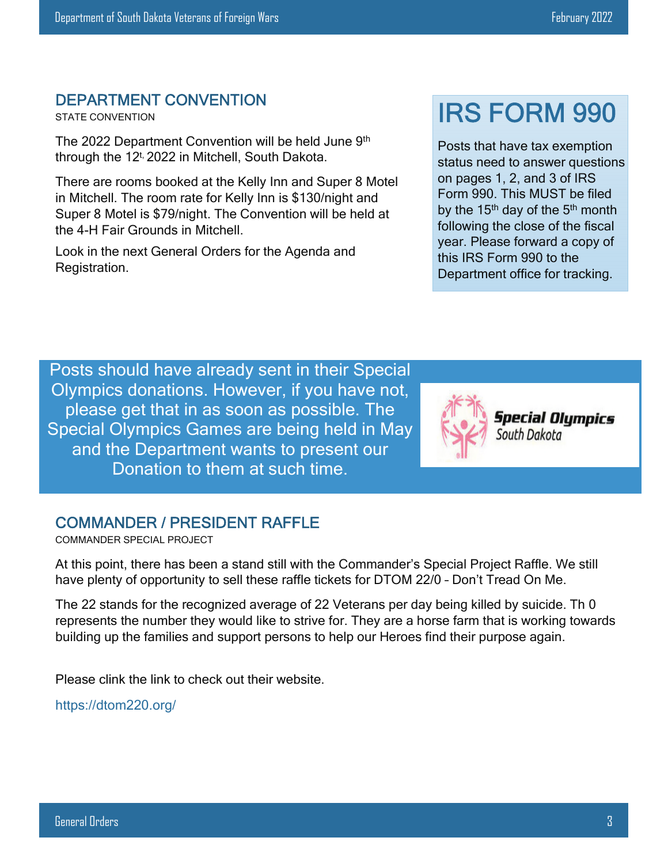#### DEPARTMENT CONVENTION

STATE CONVENTION

The 2022 Department Convention will be held June 9th through the 12<sup>t,</sup> 2022 in Mitchell, South Dakota.

There are rooms booked at the Kelly Inn and Super 8 Motel in Mitchell. The room rate for Kelly Inn is \$130/night and Super 8 Motel is \$79/night. The Convention will be held at the 4-H Fair Grounds in Mitchell.

Look in the next General Orders for the Agenda and Registration.

# IRS FORM 990

Posts that have tax exemption status need to answer questions on pages 1, 2, and 3 of IRS Form 990. This MUST be filed by the  $15<sup>th</sup>$  day of the  $5<sup>th</sup>$  month following the close of the fiscal year. Please forward a copy of this IRS Form 990 to the Department office for tracking.

Posts should have already sent in their Special Olympics donations. However, if you have not, please get that in as soon as possible. The Special Olympics Games are being held in May and the Department wants to present our Donation to them at such time.



**Special Olumpics** South Dakota

#### COMMANDER / PRESIDENT RAFFLE

COMMANDER SPECIAL PROJECT

At this point, there has been a stand still with the Commander's Special Project Raffle. We still have plenty of opportunity to sell these raffle tickets for DTOM 22/0 – Don't Tread On Me.

The 22 stands for the recognized average of 22 Veterans per day being killed by suicide. Th 0 represents the number they would like to strive for. They are a horse farm that is working towards building up the families and support persons to help our Heroes find their purpose again.

Please clink the link to check out their website.

https://dtom220.org/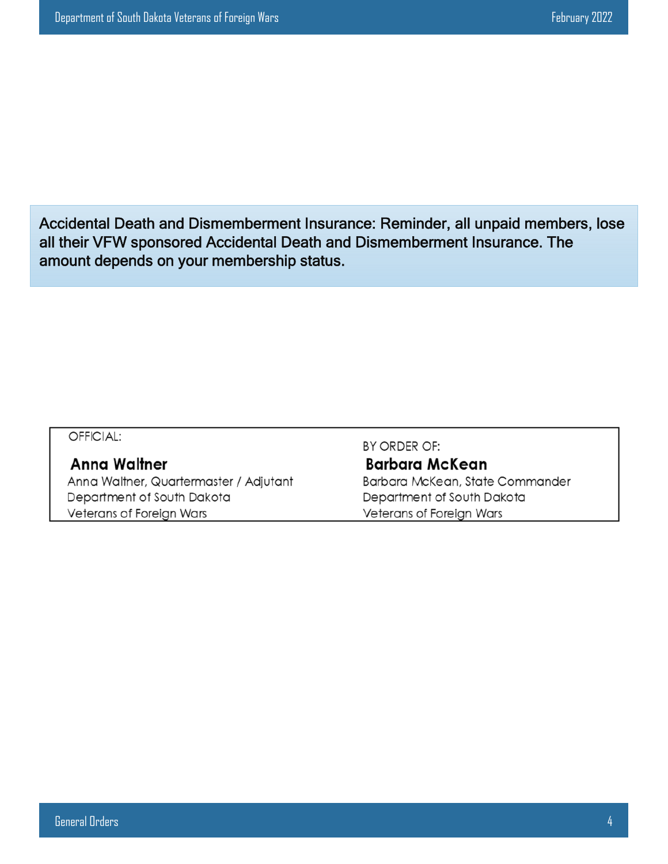Accidental Death and Dismemberment Insurance: Reminder, all unpaid members, lose all their VFW sponsored Accidental Death and Dismemberment Insurance. The amount depends on your membership status.

#### OFFICIAL:

#### **Anna Waltner**

Anna Waltner, Quartermaster / Adjutant Department of South Dakota Veterans of Foreign Wars

BY ORDER OF: **Barbara McKean** Barbara McKean, State Commander Department of South Dakota Veterans of Foreign Wars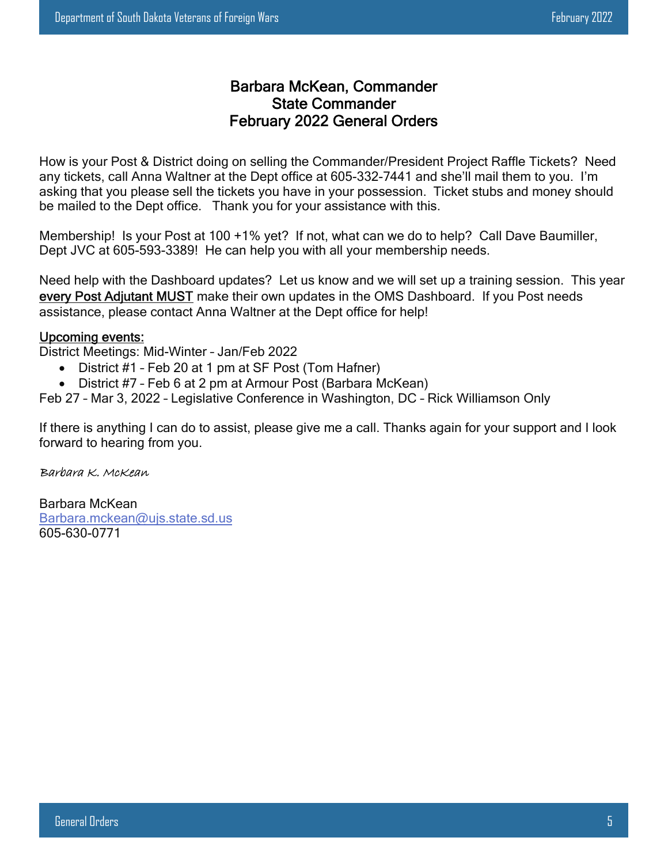#### Barbara McKean, Commander State Commander February 2022 General Orders

How is your Post & District doing on selling the Commander/President Project Raffle Tickets? Need any tickets, call Anna Waltner at the Dept office at 605-332-7441 and she'll mail them to you. I'm asking that you please sell the tickets you have in your possession. Ticket stubs and money should be mailed to the Dept office. Thank you for your assistance with this.

Membership! Is your Post at 100 +1% yet? If not, what can we do to help? Call Dave Baumiller, Dept JVC at 605-593-3389! He can help you with all your membership needs.

Need help with the Dashboard updates? Let us know and we will set up a training session. This year every Post Adjutant MUST make their own updates in the OMS Dashboard. If you Post needs assistance, please contact Anna Waltner at the Dept office for help!

#### Upcoming events:

District Meetings: Mid-Winter – Jan/Feb 2022

- District #1 Feb 20 at 1 pm at SF Post (Tom Hafner)
- District #7 Feb 6 at 2 pm at Armour Post (Barbara McKean)

Feb 27 – Mar 3, 2022 – Legislative Conference in Washington, DC – Rick Williamson Only

If there is anything I can do to assist, please give me a call. Thanks again for your support and I look forward to hearing from you.

#### Barbara K. McKean

Barbara McKean Barbara.mckean@ujs.state.sd.us 605-630-0771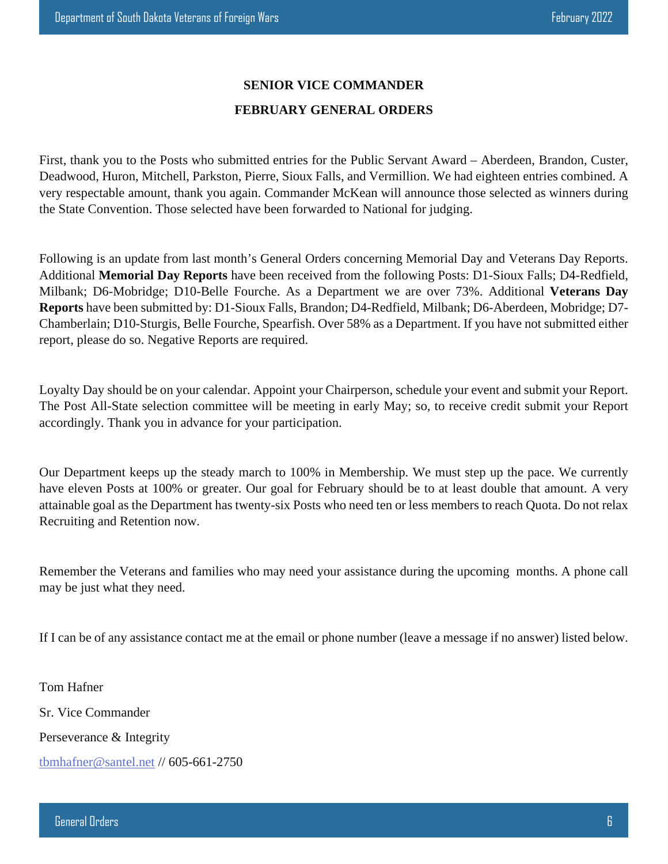#### **SENIOR VICE COMMANDER**

#### **FEBRUARY GENERAL ORDERS**

First, thank you to the Posts who submitted entries for the Public Servant Award – Aberdeen, Brandon, Custer, Deadwood, Huron, Mitchell, Parkston, Pierre, Sioux Falls, and Vermillion. We had eighteen entries combined. A very respectable amount, thank you again. Commander McKean will announce those selected as winners during the State Convention. Those selected have been forwarded to National for judging.

Following is an update from last month's General Orders concerning Memorial Day and Veterans Day Reports. Additional **Memorial Day Reports** have been received from the following Posts: D1-Sioux Falls; D4-Redfield, Milbank; D6-Mobridge; D10-Belle Fourche. As a Department we are over 73%. Additional **Veterans Day Reports** have been submitted by: D1-Sioux Falls, Brandon; D4-Redfield, Milbank; D6-Aberdeen, Mobridge; D7- Chamberlain; D10-Sturgis, Belle Fourche, Spearfish. Over 58% as a Department. If you have not submitted either report, please do so. Negative Reports are required.

Loyalty Day should be on your calendar. Appoint your Chairperson, schedule your event and submit your Report. The Post All-State selection committee will be meeting in early May; so, to receive credit submit your Report accordingly. Thank you in advance for your participation.

Our Department keeps up the steady march to 100% in Membership. We must step up the pace. We currently have eleven Posts at 100% or greater. Our goal for February should be to at least double that amount. A very attainable goal as the Department has twenty-six Posts who need ten or less members to reach Quota. Do not relax Recruiting and Retention now.

Remember the Veterans and families who may need your assistance during the upcoming months. A phone call may be just what they need.

If I can be of any assistance contact me at the email or phone number (leave a message if no answer) listed below.

Tom Hafner Sr. Vice Commander Perseverance & Integrity tbmhafner@santel.net // 605-661-2750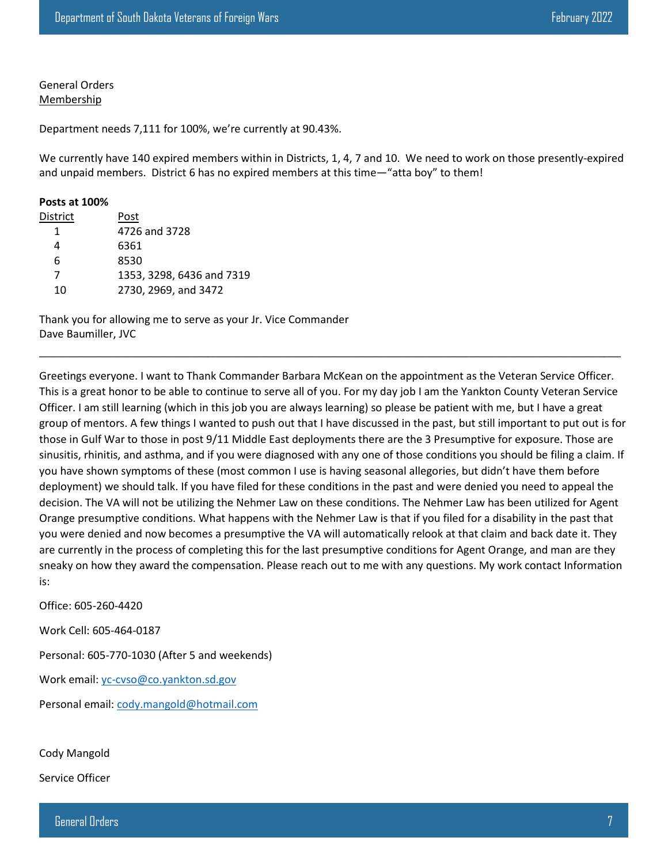General Orders Membership

Department needs 7,111 for 100%, we're currently at 90.43%.

We currently have 140 expired members within in Districts, 1, 4, 7 and 10. We need to work on those presently-expired and unpaid members. District 6 has no expired members at this time—"atta boy" to them!

#### **Posts at 100%**

| District | Post                      |
|----------|---------------------------|
|          | 4726 and 3728             |
| 4        | 6361                      |
| 6        | 8530                      |
| 7        | 1353, 3298, 6436 and 7319 |
| 10       | 2730, 2969, and 3472      |

Thank you for allowing me to serve as your Jr. Vice Commander Dave Baumiller, JVC

Greetings everyone. I want to Thank Commander Barbara McKean on the appointment as the Veteran Service Officer. This is a great honor to be able to continue to serve all of you. For my day job I am the Yankton County Veteran Service Officer. I am still learning (which in this job you are always learning) so please be patient with me, but I have a great group of mentors. A few things I wanted to push out that I have discussed in the past, but still important to put out is for those in Gulf War to those in post 9/11 Middle East deployments there are the 3 Presumptive for exposure. Those are sinusitis, rhinitis, and asthma, and if you were diagnosed with any one of those conditions you should be filing a claim. If you have shown symptoms of these (most common I use is having seasonal allegories, but didn't have them before deployment) we should talk. If you have filed for these conditions in the past and were denied you need to appeal the decision. The VA will not be utilizing the Nehmer Law on these conditions. The Nehmer Law has been utilized for Agent Orange presumptive conditions. What happens with the Nehmer Law is that if you filed for a disability in the past that you were denied and now becomes a presumptive the VA will automatically relook at that claim and back date it. They are currently in the process of completing this for the last presumptive conditions for Agent Orange, and man are they sneaky on how they award the compensation. Please reach out to me with any questions. My work contact Information is:

 $\_$  , and the contribution of the contribution of  $\mathcal{L}$  , and  $\mathcal{L}$  , and  $\mathcal{L}$  , and  $\mathcal{L}$ 

Office: 605-260-4420

Work Cell: 605-464-0187

Personal: 605-770-1030 (After 5 and weekends)

Work email: yc-cvso@co.yankton.sd.gov

Personal email: cody.mangold@hotmail.com

Cody Mangold

Service Officer

General Orders 7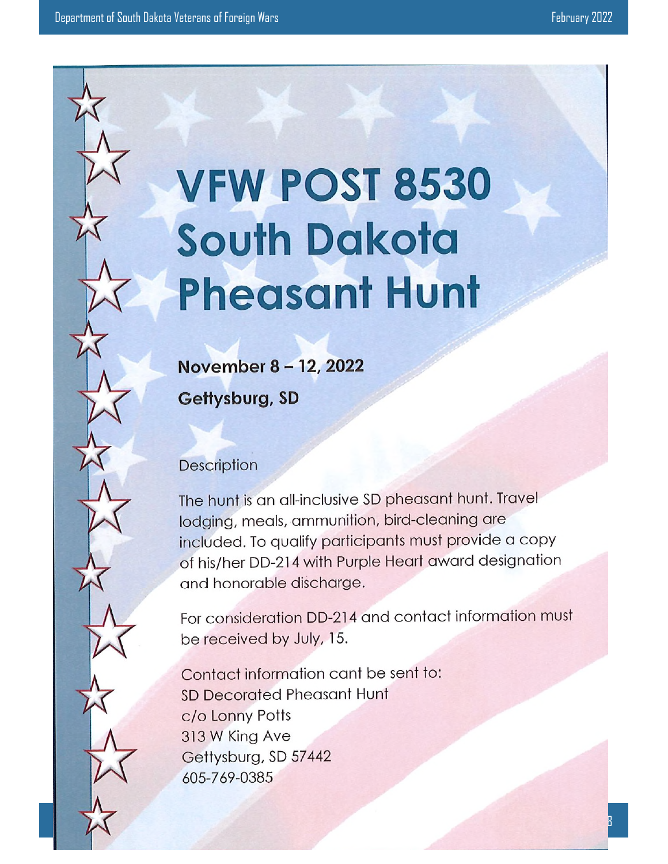# **VFW POST 8530 South Dakota Pheasant Hunt**

November 8 - 12, 2022 Gettysburg, SD

## Description

The hunt is an all-inclusive SD pheasant hunt. Travel lodging, meals, ammunition, bird-cleaning are included. To qualify participants must provide a copy of his/her DD-214 with Purple Heart award designation and honorable discharge.

For consideration DD-214 and contact information must be received by July, 15.

Contact information cant be sent to: SD Decorated Pheasant Hunt c/o Lonny Potts 313 W King Ave Gettysburg, SD 57442 605-769-0385

General Orders 8 and 2007 September 8 and 2007 September 8 and 2007 September 8 and 2007 September 8 and 2007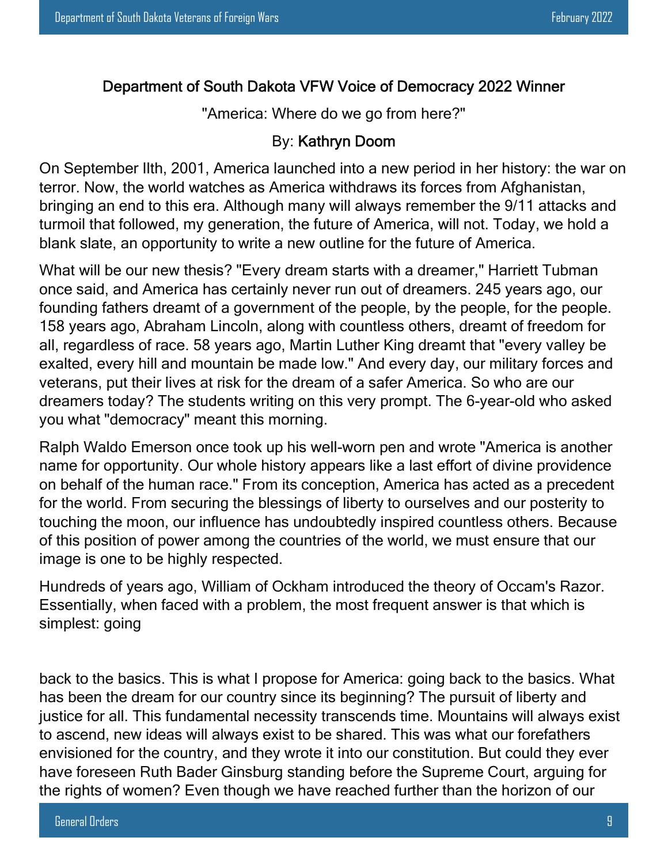### Department of South Dakota VFW Voice of Democracy 2022 Winner

"America: Where do we go from here?"

### By: Kathryn Doom

On September Ilth, 2001, America launched into a new period in her history: the war on terror. Now, the world watches as America withdraws its forces from Afghanistan, bringing an end to this era. Although many will always remember the 9/11 attacks and turmoil that followed, my generation, the future of America, will not. Today, we hold a blank slate, an opportunity to write a new outline for the future of America.

What will be our new thesis? "Every dream starts with a dreamer," Harriett Tubman once said, and America has certainly never run out of dreamers. 245 years ago, our founding fathers dreamt of a government of the people, by the people, for the people. 158 years ago, Abraham Lincoln, along with countless others, dreamt of freedom for all, regardless of race. 58 years ago, Martin Luther King dreamt that "every valley be exalted, every hill and mountain be made low." And every day, our military forces and veterans, put their lives at risk for the dream of a safer America. So who are our dreamers today? The students writing on this very prompt. The 6-year-old who asked you what "democracy" meant this morning.

Ralph Waldo Emerson once took up his well-worn pen and wrote "America is another name for opportunity. Our whole history appears like a last effort of divine providence on behalf of the human race." From its conception, America has acted as a precedent for the world. From securing the blessings of liberty to ourselves and our posterity to touching the moon, our influence has undoubtedly inspired countless others. Because of this position of power among the countries of the world, we must ensure that our image is one to be highly respected.

Hundreds of years ago, William of Ockham introduced the theory of Occam's Razor. Essentially, when faced with a problem, the most frequent answer is that which is simplest: going

back to the basics. This is what I propose for America: going back to the basics. What has been the dream for our country since its beginning? The pursuit of liberty and justice for all. This fundamental necessity transcends time. Mountains will always exist to ascend, new ideas will always exist to be shared. This was what our forefathers envisioned for the country, and they wrote it into our constitution. But could they ever have foreseen Ruth Bader Ginsburg standing before the Supreme Court, arguing for the rights of women? Even though we have reached further than the horizon of our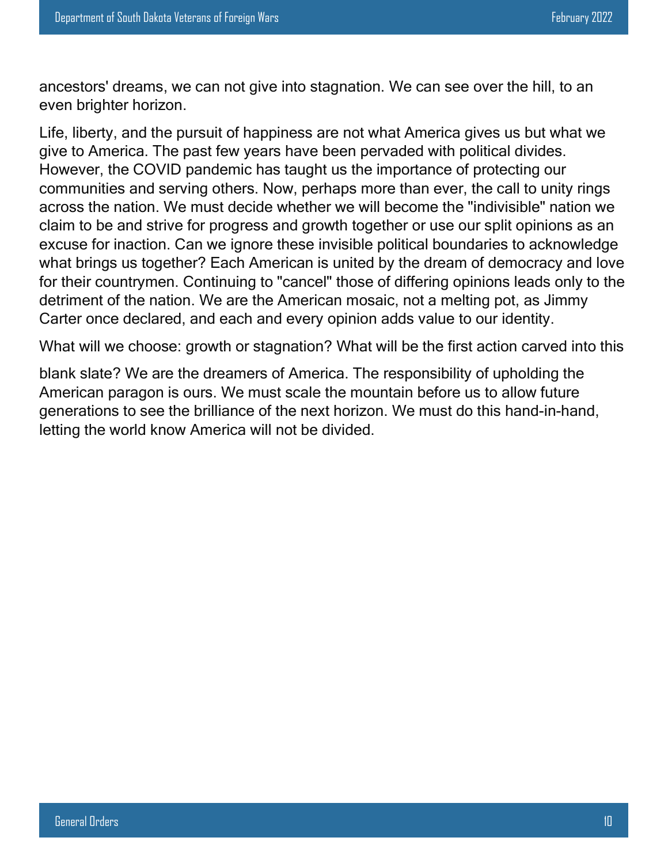ancestors' dreams, we can not give into stagnation. We can see over the hill, to an even brighter horizon.

Life, liberty, and the pursuit of happiness are not what America gives us but what we give to America. The past few years have been pervaded with political divides. However, the COVID pandemic has taught us the importance of protecting our communities and serving others. Now, perhaps more than ever, the call to unity rings across the nation. We must decide whether we will become the "indivisible" nation we claim to be and strive for progress and growth together or use our split opinions as an excuse for inaction. Can we ignore these invisible political boundaries to acknowledge what brings us together? Each American is united by the dream of democracy and love for their countrymen. Continuing to "cancel" those of differing opinions leads only to the detriment of the nation. We are the American mosaic, not a melting pot, as Jimmy Carter once declared, and each and every opinion adds value to our identity.

What will we choose: growth or stagnation? What will be the first action carved into this

blank slate? We are the dreamers of America. The responsibility of upholding the American paragon is ours. We must scale the mountain before us to allow future generations to see the brilliance of the next horizon. We must do this hand-in-hand, letting the world know America will not be divided.